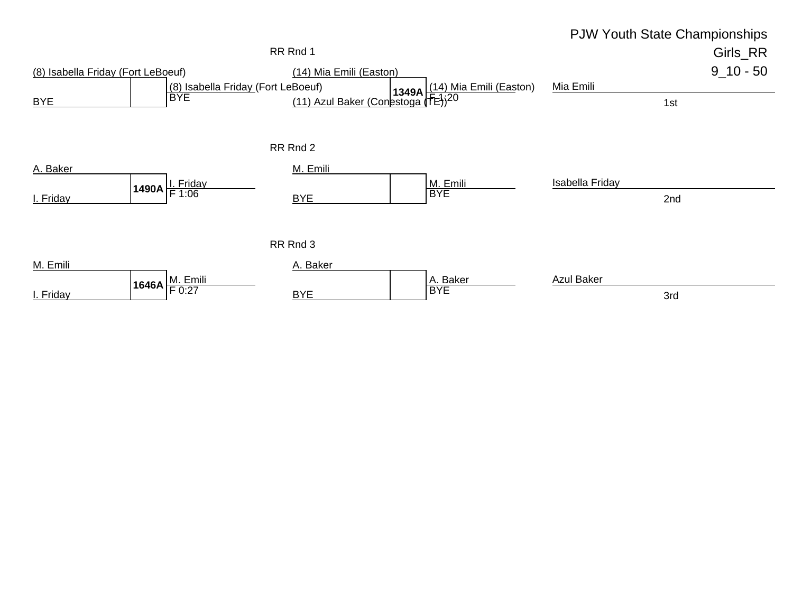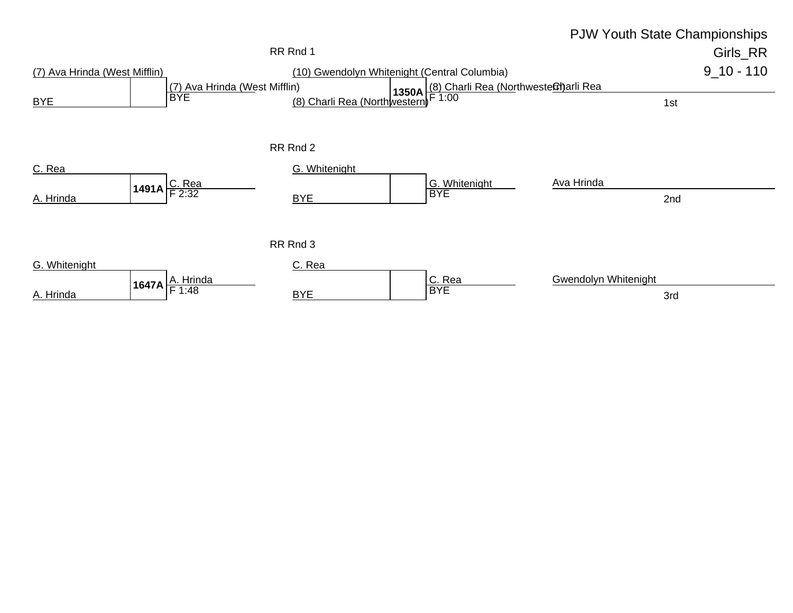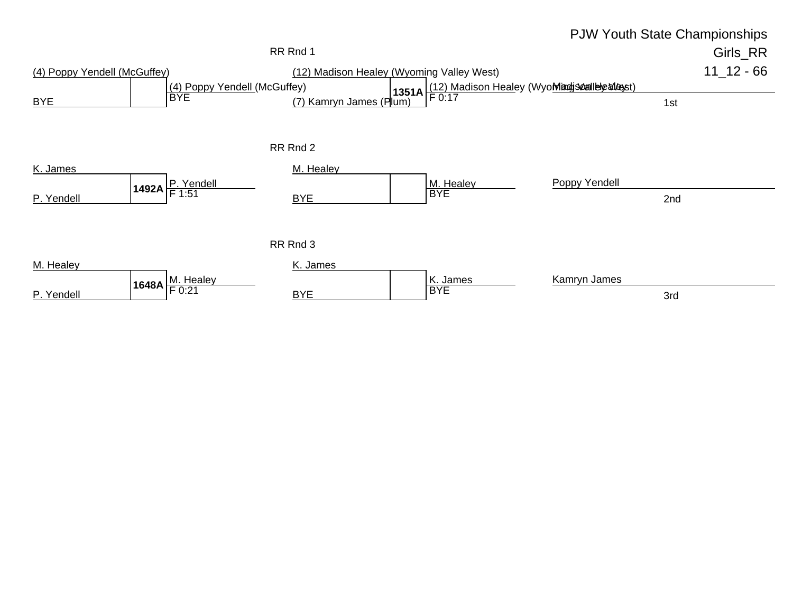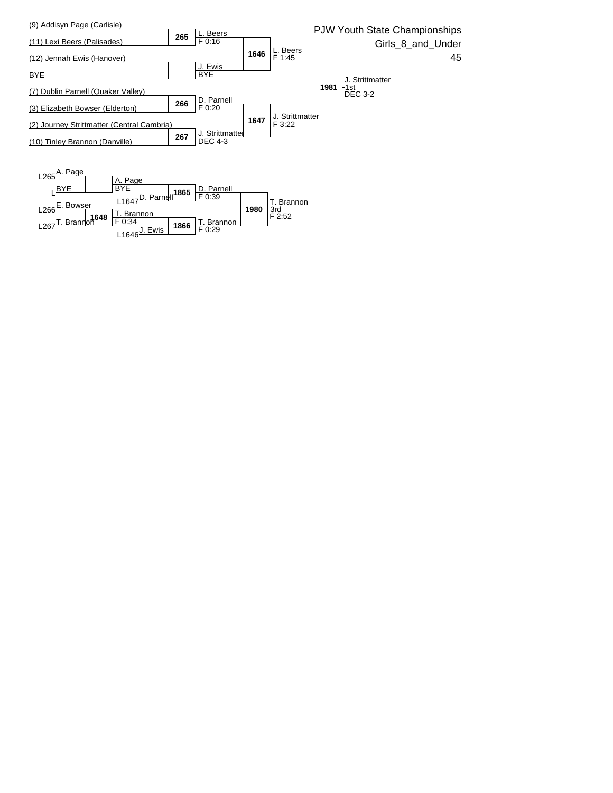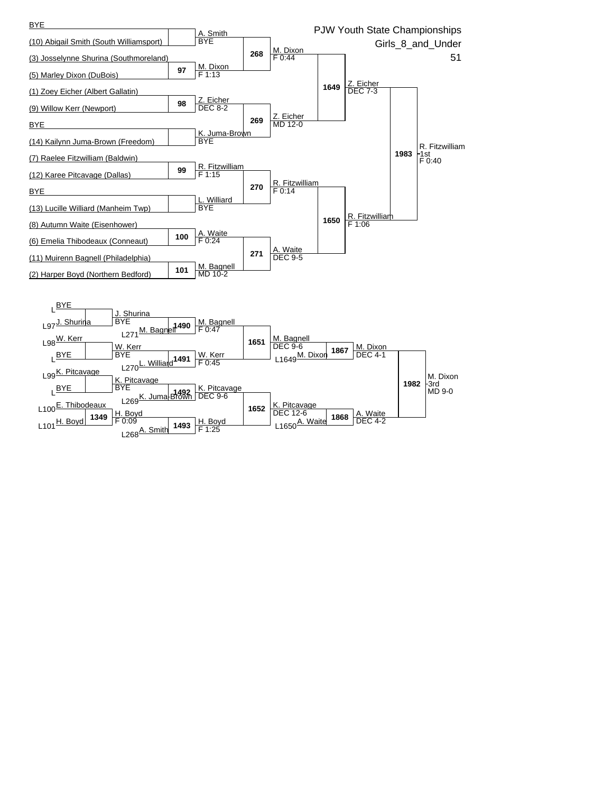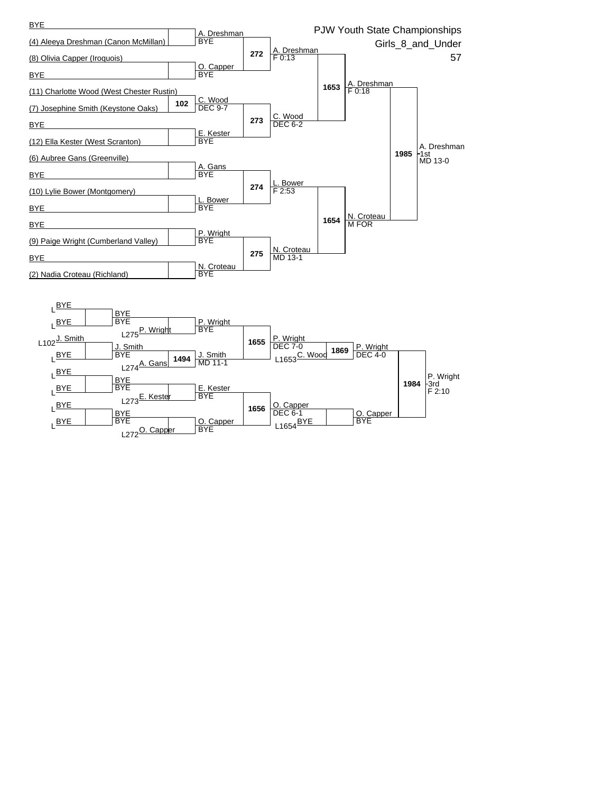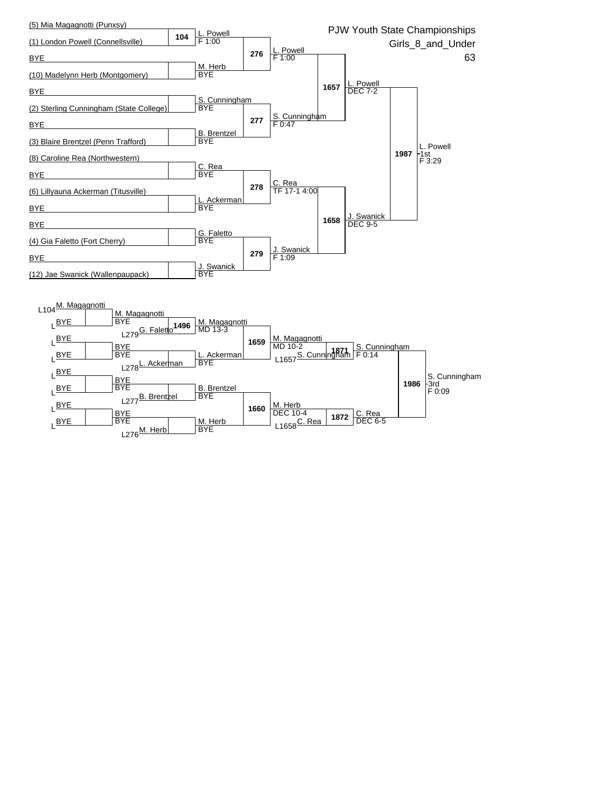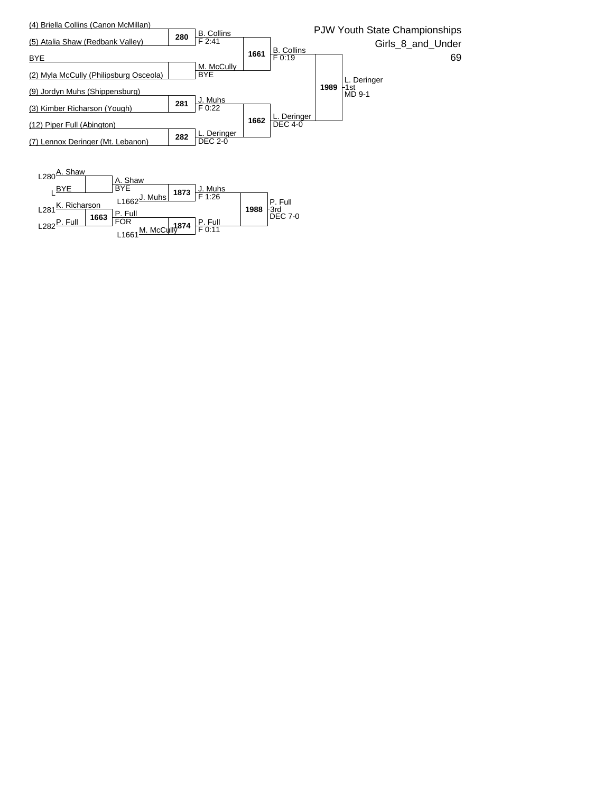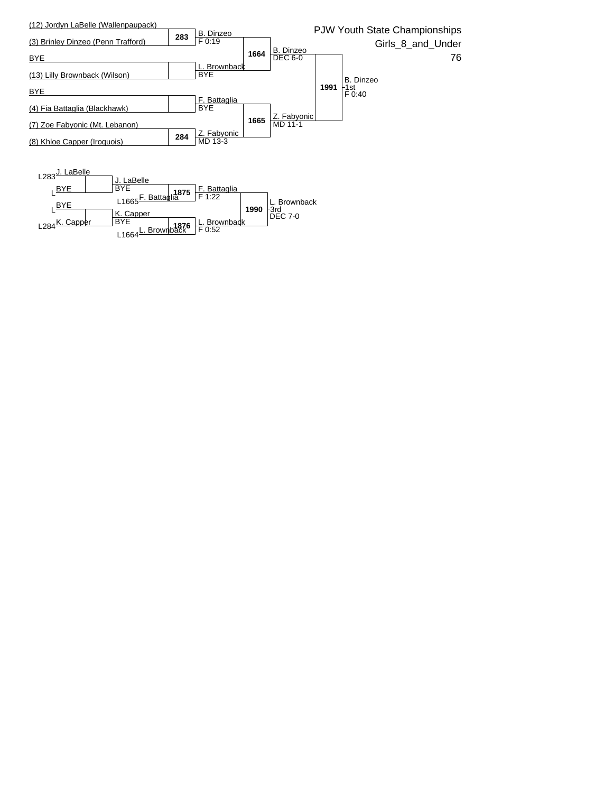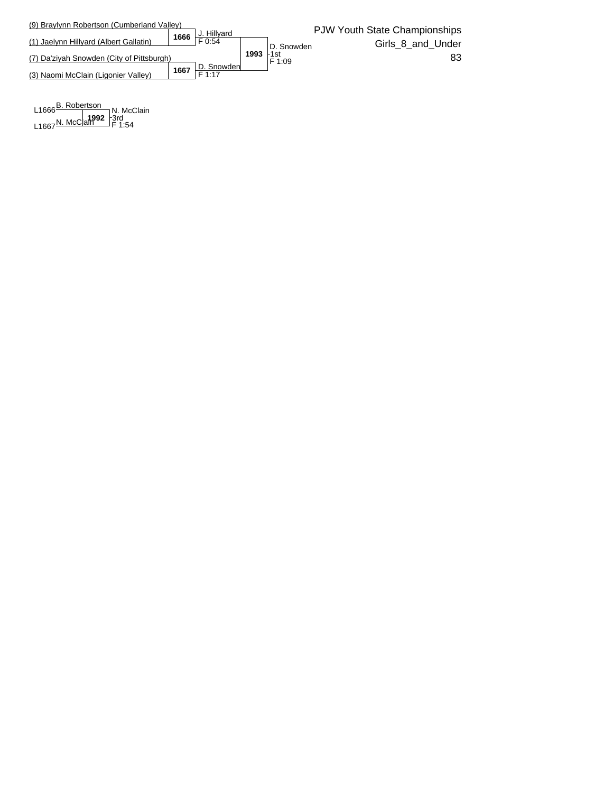

L<sub>1666</sub>B. Robertson<br>
N. McC 1992  $L1667$ <sup>N. McClain F 1:54</sup> N. McClain 3rd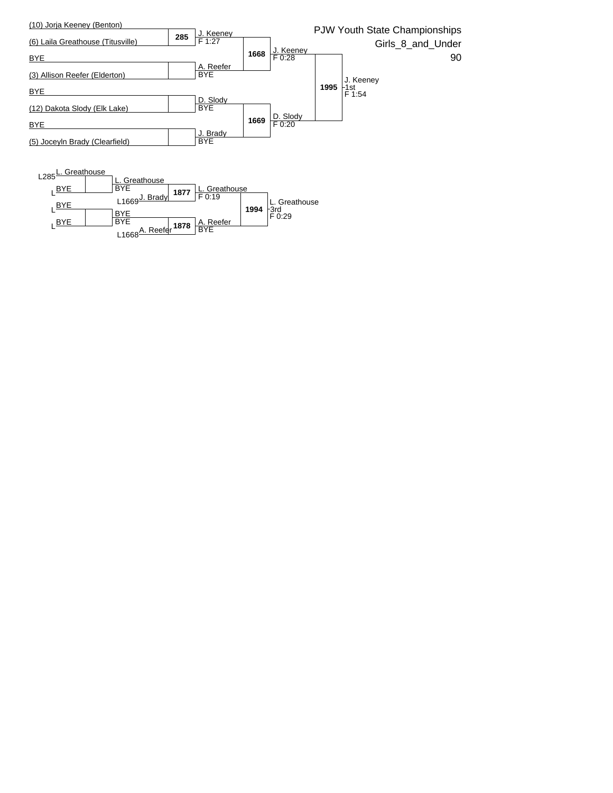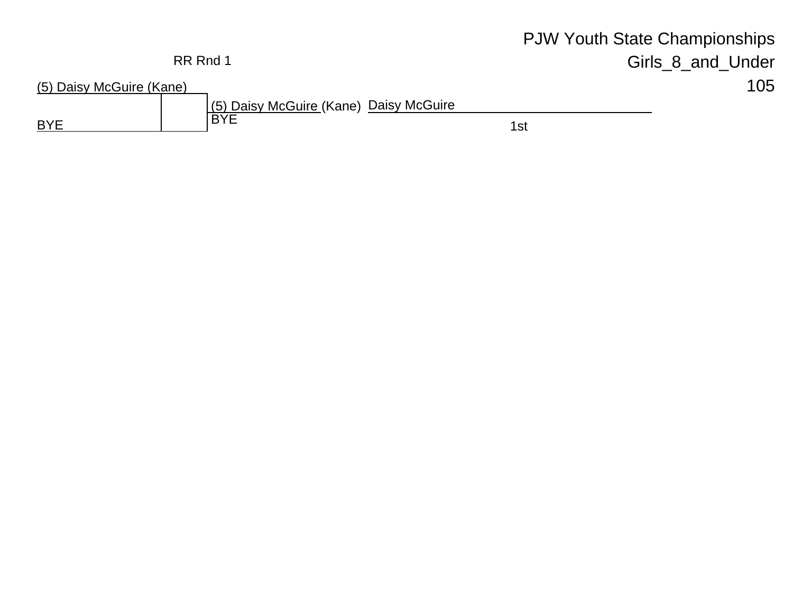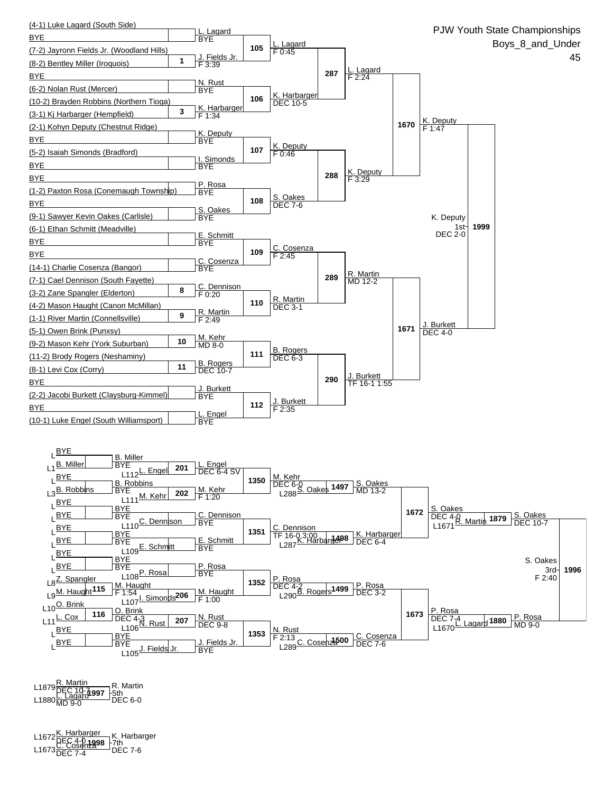

L1879 <sup>R. Martin<br>PEC 10-**71997**</sup> L1880<u>L. Lagardi**997 Fotn**</u><br>L1880MD 9-0 R. Martin \_<del>l</del>5th<br>□DEC 6-0

**1998** L1672K. Harbarger DEC 4-0 L1673C. Cosenza DEC 7-4 DEC 7-6 K. Harbarger 7th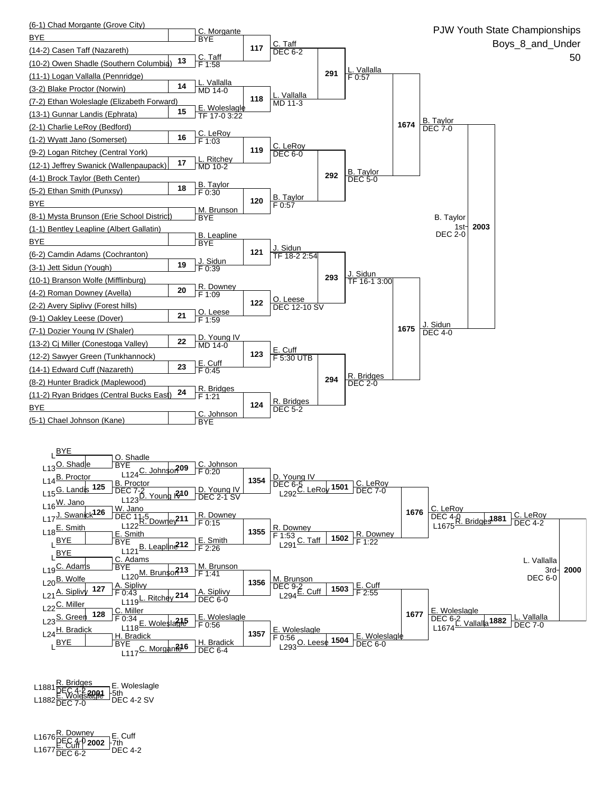

**2001** L1881R. Bridges DEC 4-2 L1882E. Woleslagle DEC 7-0 DEC 4-2 SV 5th E. Woleslagle

**2002** L1676R. Downey DEC 4-0 L1677E. Cuff DEC 6-2 DEC 4-2 E. Cuff 7th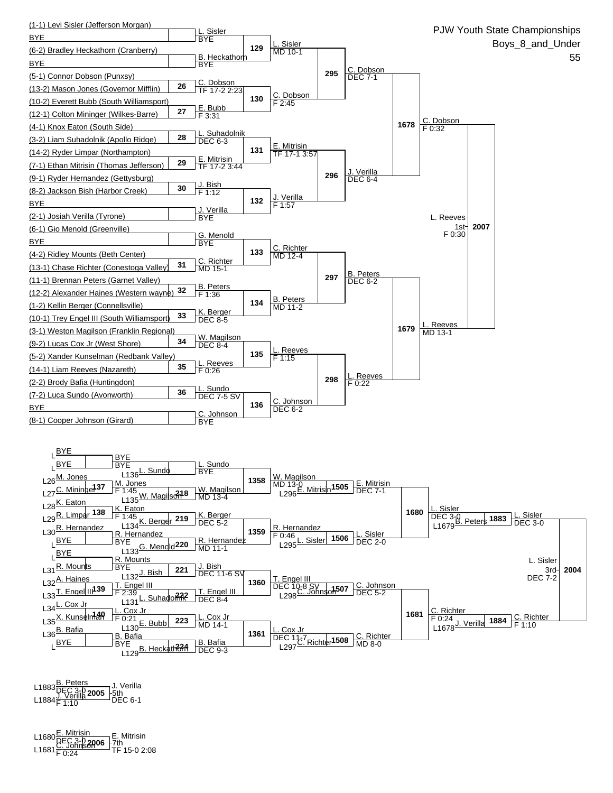

**2005** L1883B. Peters DEC 3-0 L1884J. Verilla F 1:10 DEC 6-1 J. Verilla 5th

**2006** L1680E. Mitrisin DEC 3-0 L1681C. Johnson F 0:24 TF 15-0 2:08 E. Mitrisin 7th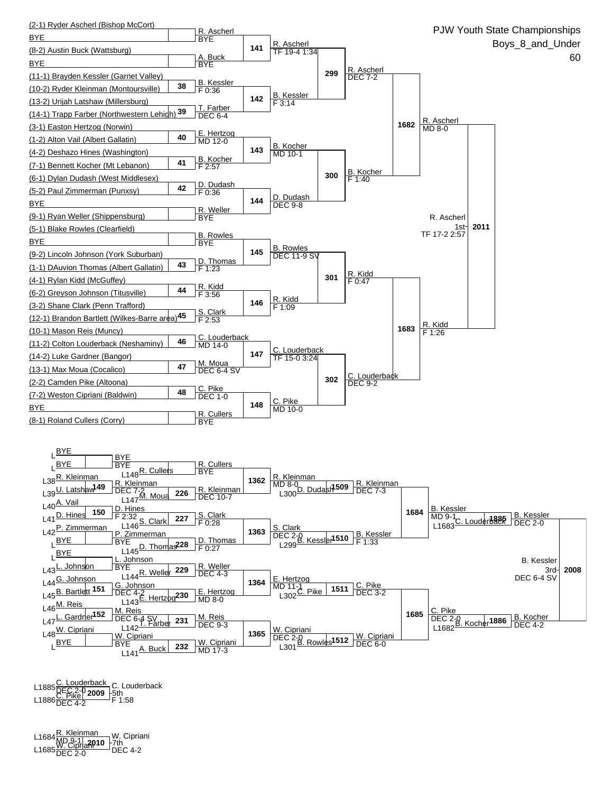

L1885 <u>C. Louderback</u><br>L1886 DEC 2-0 **2009** - 5th<br>L1886 DEC 4-2 F 1:58 C. Louderback 5th

L1684 <mark>R. Kleinman</mark> W. Cipriar<br>L1685 <u>W. Cipria**n**910</u> - 7th<br>L1685 DEC 2-0 DEC 4-2 W. Cipriani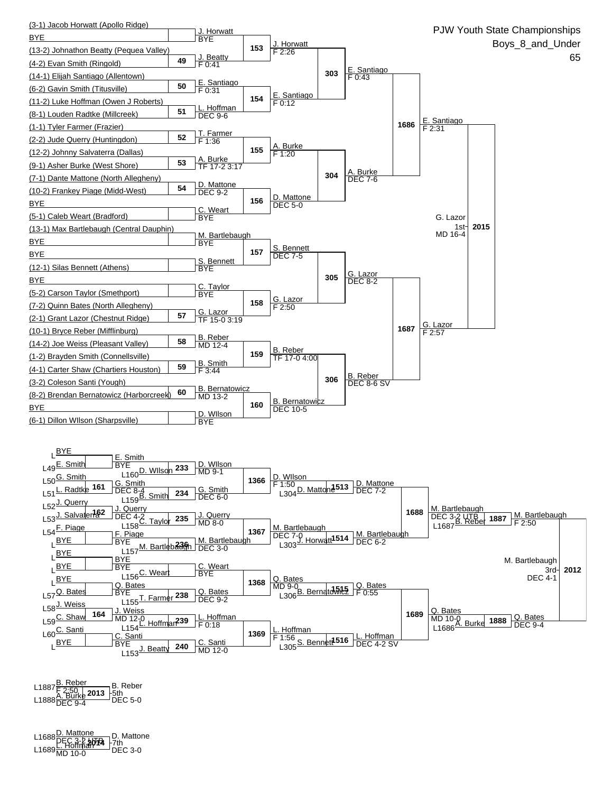

L1887<u>B. Reber</u><br>E2:50 | **2013** | 5th<br>L1888 DEC 9-4 DEC 5-0 B. Reber \_<del>l 5</del>th<br>□ DEC 5-0

**2014** L1688D. Mattone DEC 3-2 UTB L1689L. Hoffman MD 10-0 DEC 3-0 D. Mattone 7th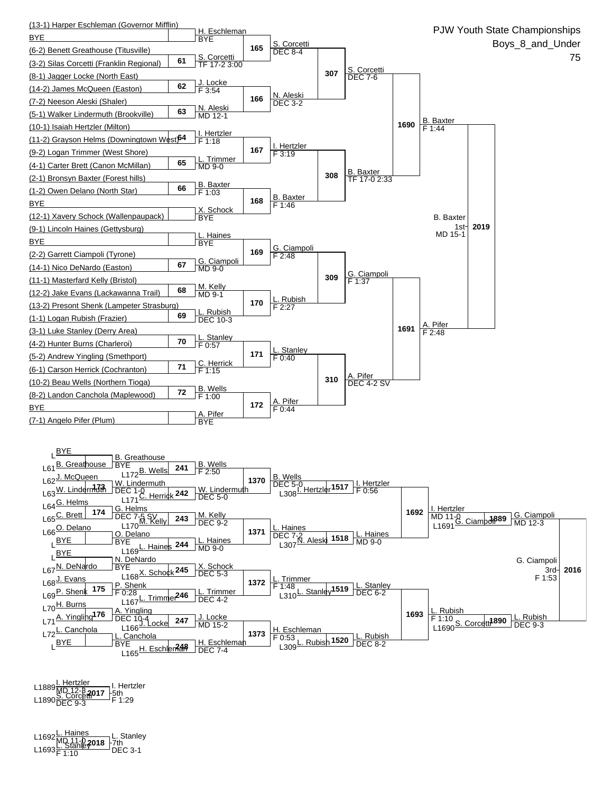

L1889<u><sup>I. Hertzler |</u> I. Hertz<br>L1890 S. Corcetti<sup>0</sup>17 -5th<br>L1890 DEC 9-3 F 1:29</u></sup> I. Hertzler

L1692 <mark>L. Haines</mark><br>MD 11-0 **2018** −7th<br>The Hanle **2018** −7th L1693<mark>F. Stanle¥<sup>018</sup> F</sub>/th<br>L1693<mark>F 1:10</mark> DEC 3-1</mark> L. Stanley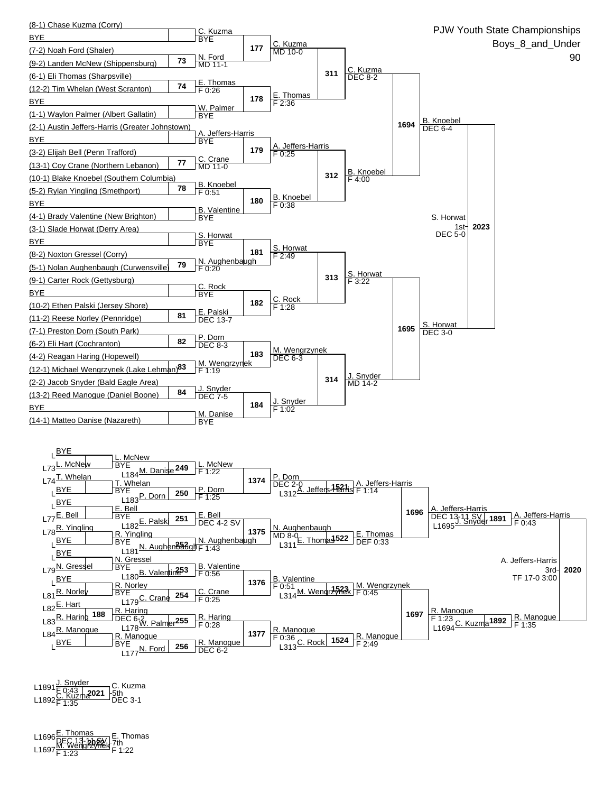

**2021** L1891J. Snyder F 0:43 L1892C. Kuzma F 1:35 DEC 3-1 C. Kuzma \_<del>l</del>5th<br>□DEC 3-1

L1696<u>E. Thomas</u><br>L1697<u>M. Wengrzynek</u> 7th<br>L1697<mark>F 1:23</mark> F 1:22 E. Thomas 7th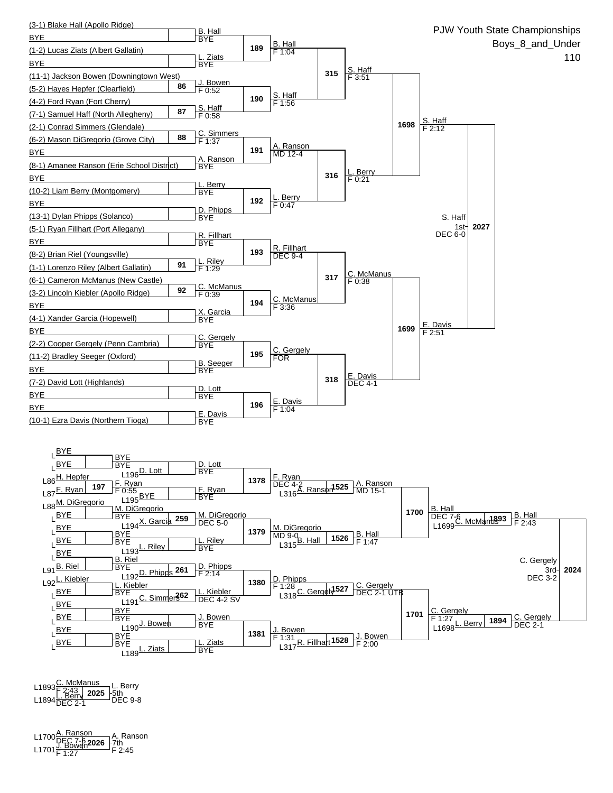

**2025** L1893C. McManus F 2:43 L1894L. Berry DEC 2-1 DEC 9-8 L. Berry 5th

L1700<u>Å. Ranson</u><br>L1701<u>J. Bowen</u>2026 - 7th<br>L1701 F 1:27 F 2:45 A. Ranson 7th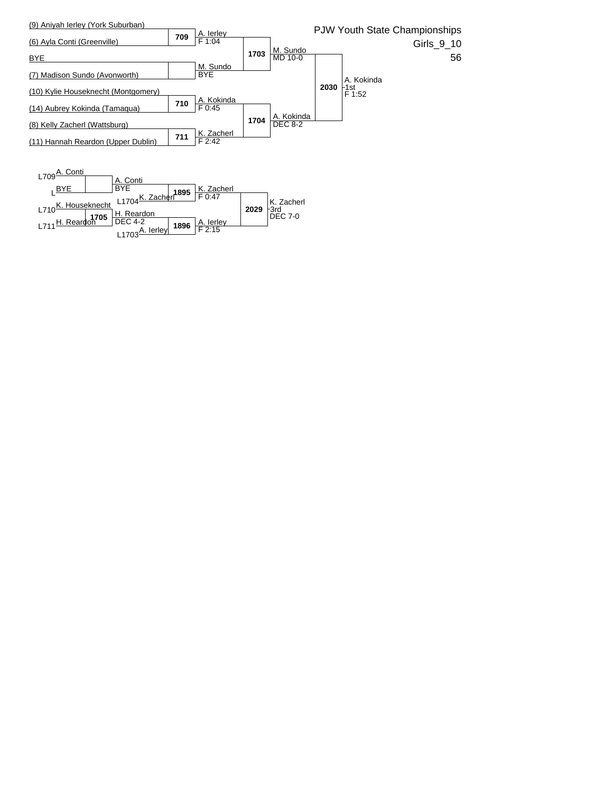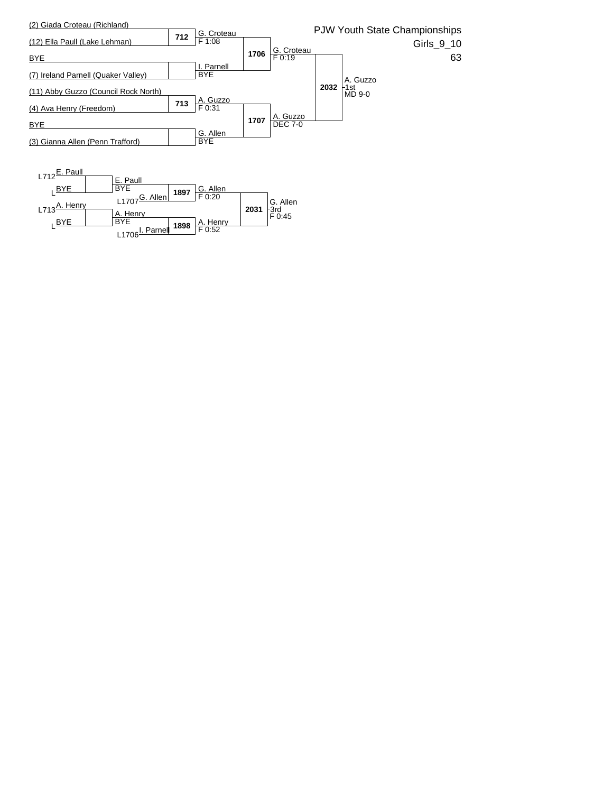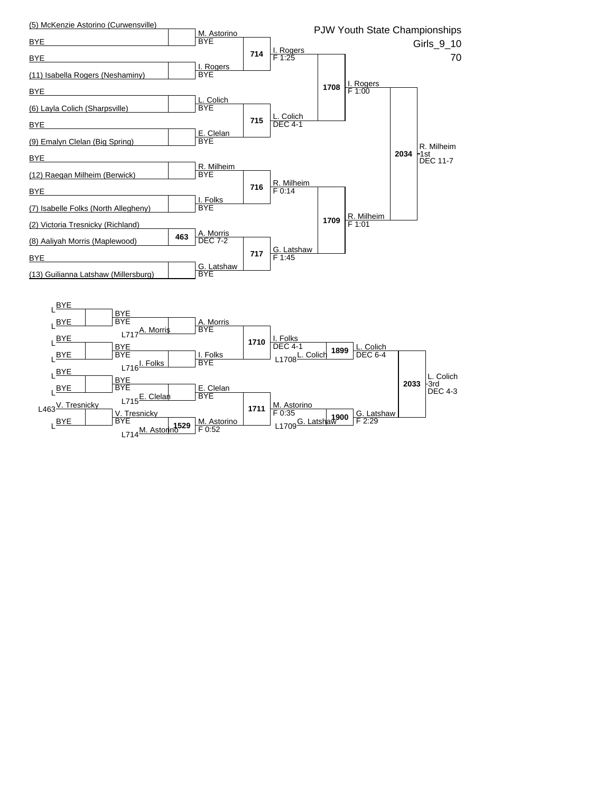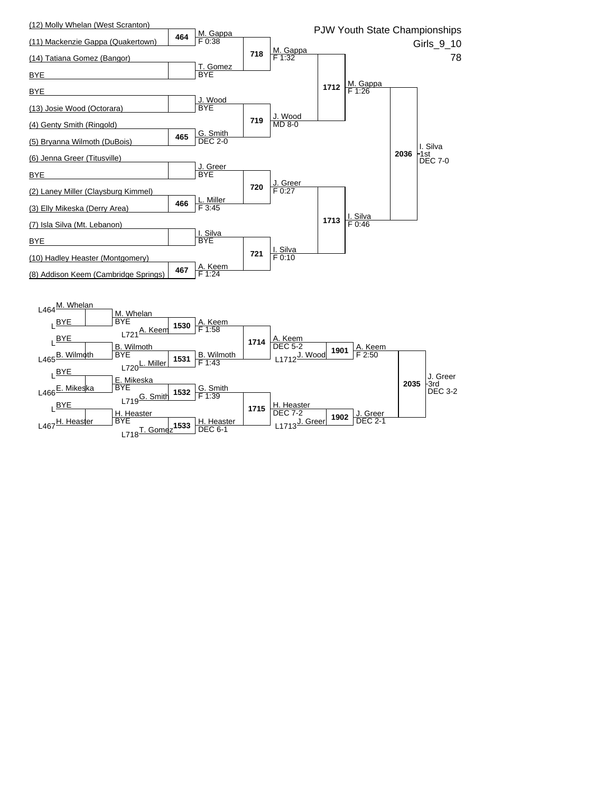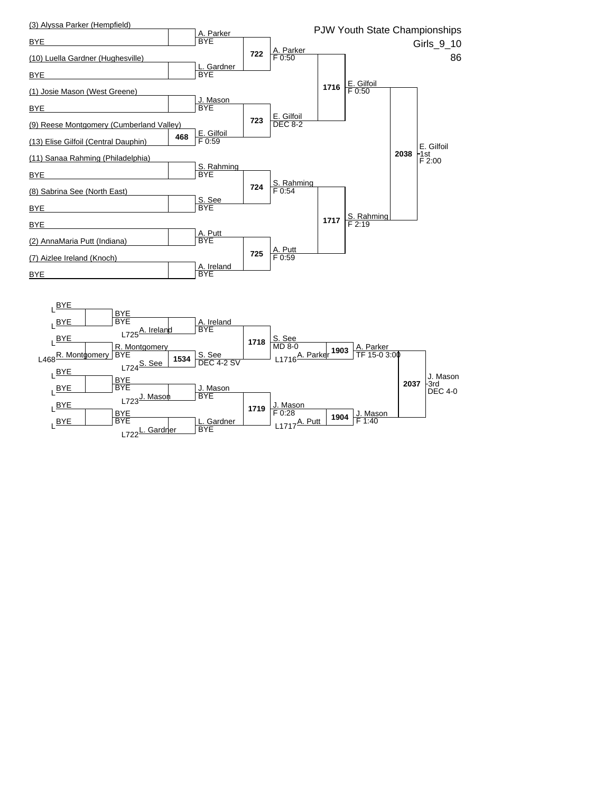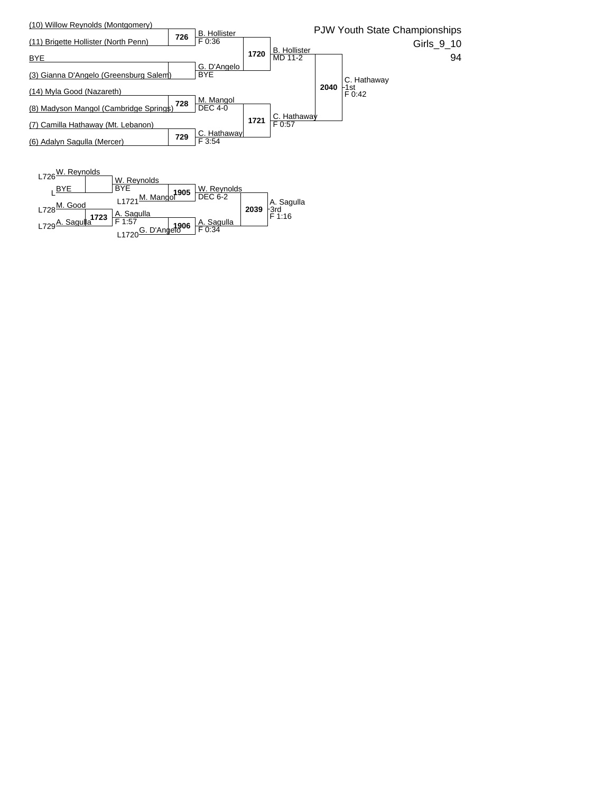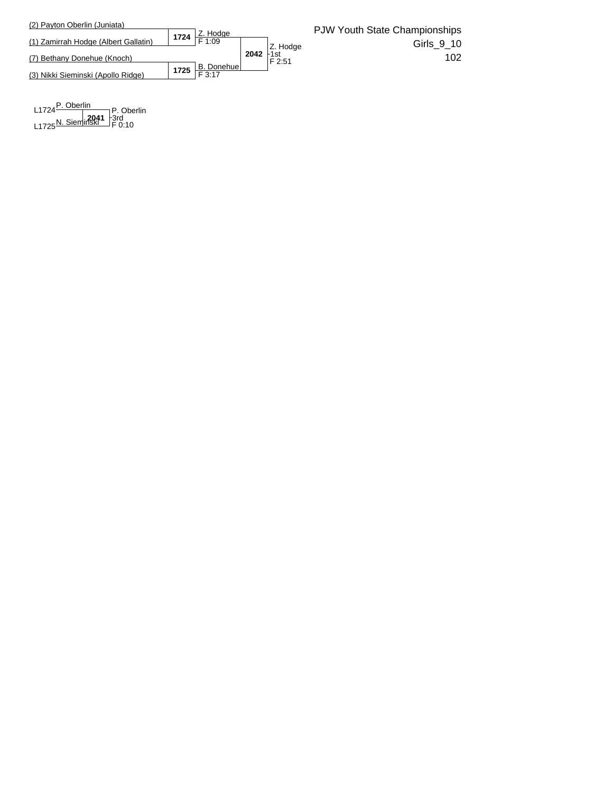

**2041** L1724P. Oberlin  $L$ 1725 $N$ . Sieminski F 0:10 P. Oberlin 3rd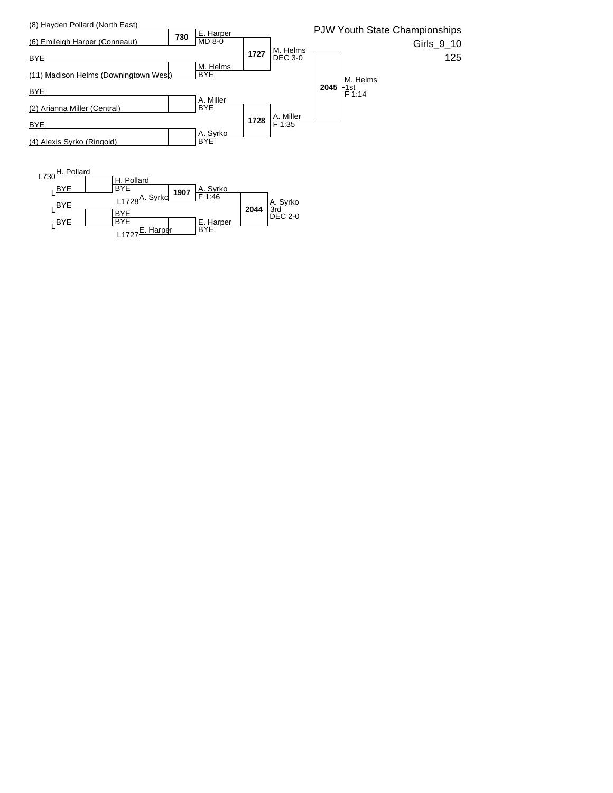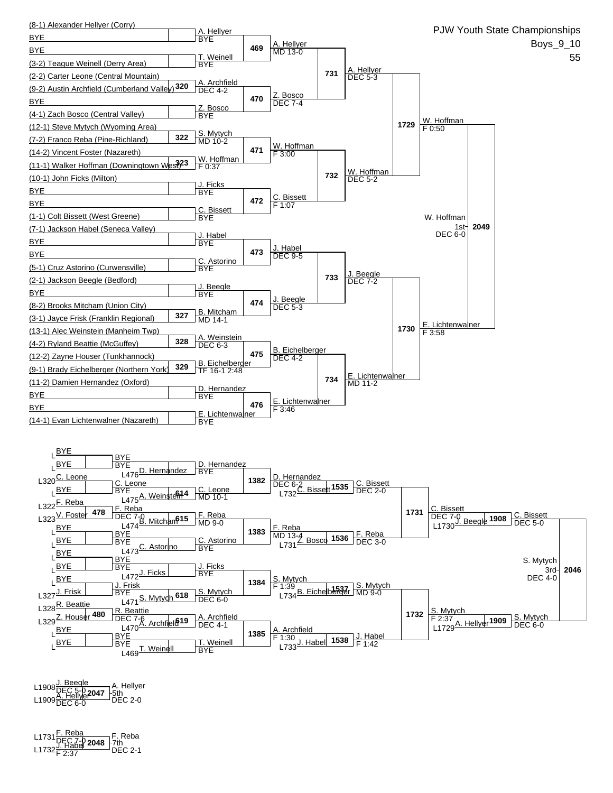

**2047** L1908J. Beegle DEC 5-0 L1909A. Hellyer DEC 6-0 DEC 2-0 A. Hellyer ├5th<br>└DEC 2-0

**2048** L1731F. Reba DEC 7-0 L1732J. Habel F 2:37 DEC 2-1 F. Reba  $\frac{1}{2}$ T<sup>th</sup><br>DEC 2-1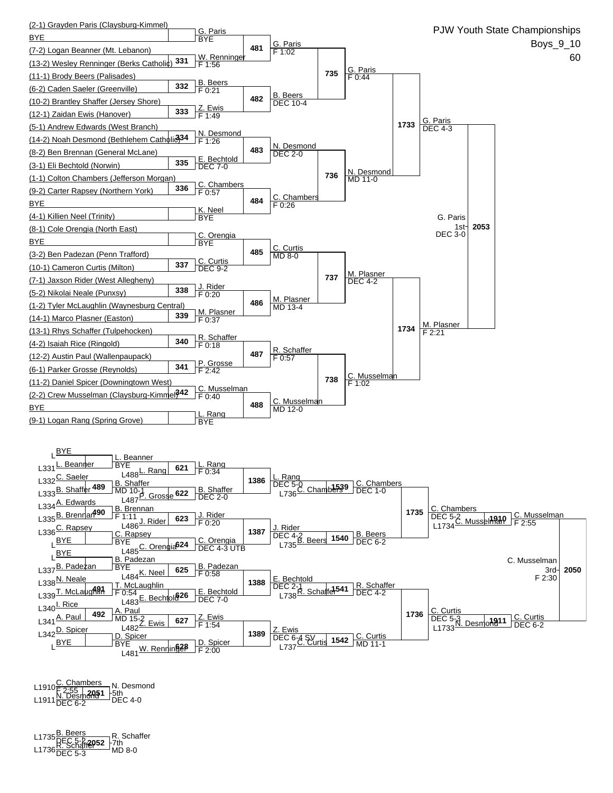

**2051** L1910C. Chambers F 2:55 L1911N. Desmond DEC 6-2 DEC 4-0 5th <sub>n</sub> N. Desmond

L1735<u>B. Beers</u><br>L1736 <u>REC 5-2**,2052** -</u>7th<br>L1736 DEC 5-3 MD 8-0 R. Schaffer -7th<br>- MD 8-0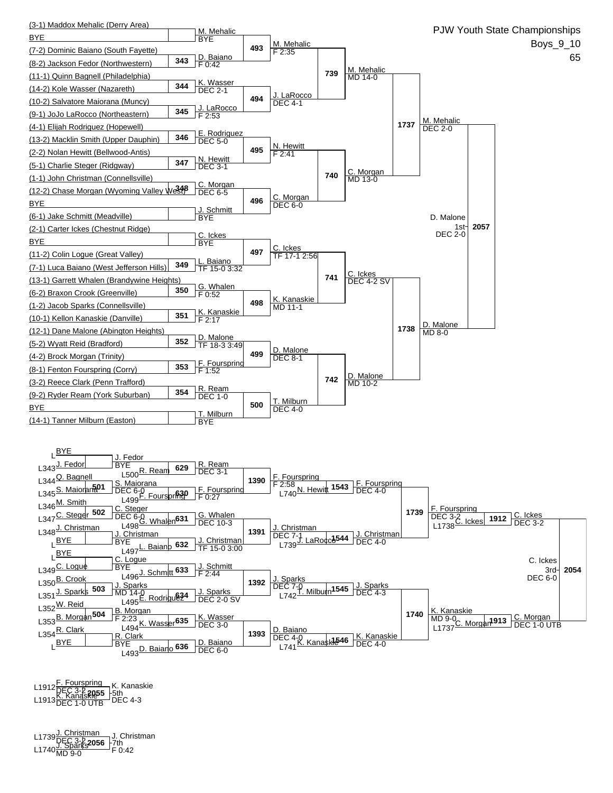

**2055** L1912F. Fourspring DEC 3-2 L1913K. Kanaskie DEC 1-0 UTB DEC 4-3 K. Kanaskie 5th

L1739 <u>J. Christman</u><br>L1740 <u>J. Sparks</u> 2056 - 7th<br>L1740 MD 9-0 F 0:42 J. Christman 7th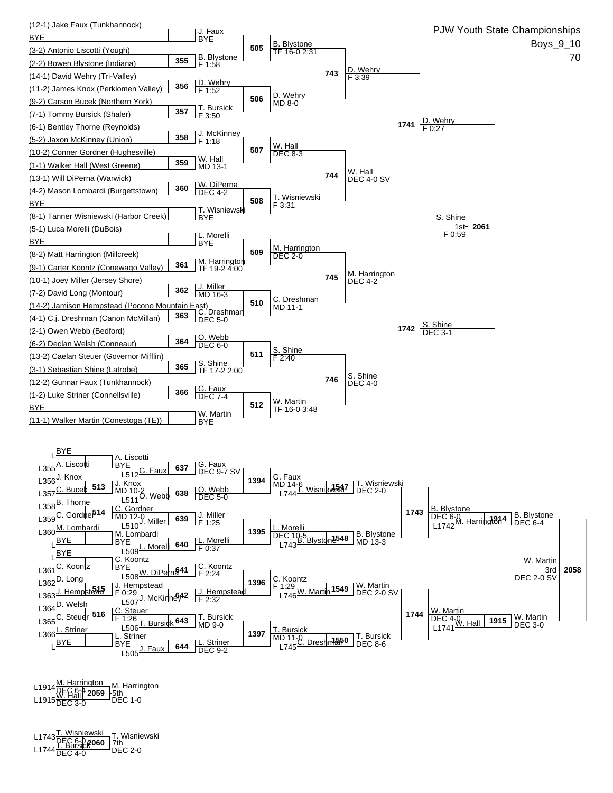

L1914 <u>M. Harrington</u><br>DEC 6-4 **2059** - 5th<br>L1915 DEC 3-0 DEC 1-0 M. Harrington 5th

L1743<u>T. Wisniewski</u><br>L1744 <mark>DEC 6-0 **2060** F7th<br>L1744 DEC 4-0 DEC 2-0</mark> T. Wisniewski 7th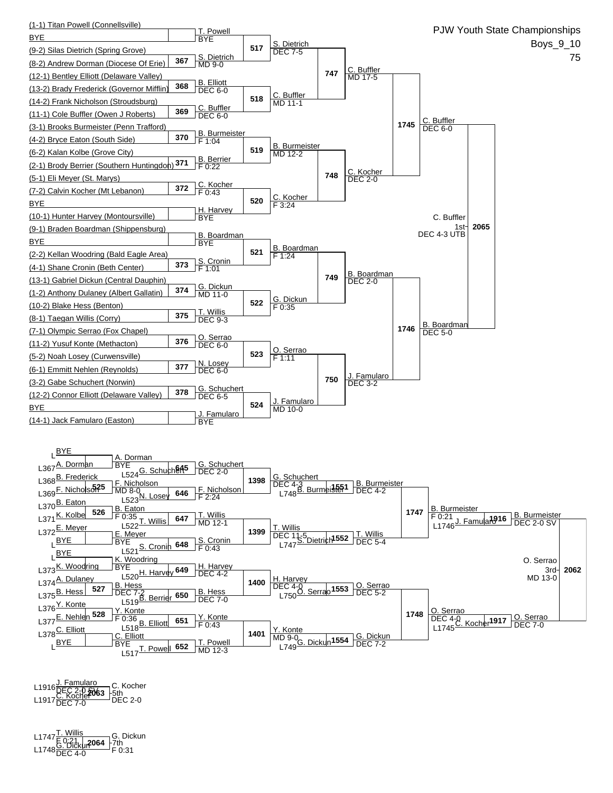

L1916 <u>J. Famularo</u><br>L1916 DEC 2-0 **SV63** - 5th<br>L1917 DEC 7-0 DEC 2-0 C. Kocher 5th

L1747 <mark>T. Willis</mark><br>L1748 <u>G. Dickur</u> 1064 - 7th<br>L1748 DEC 4-0 F 0:31 G. Dickun 7th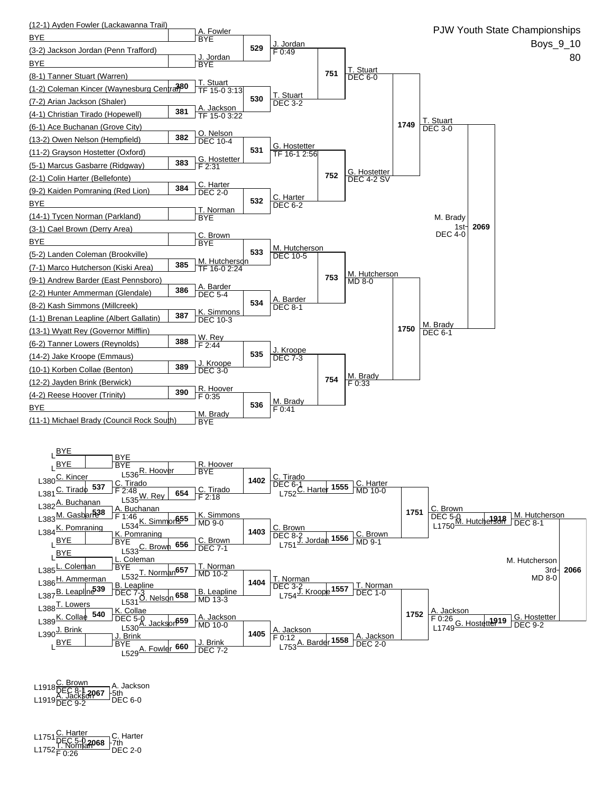

**2067** L1918C. Brown DEC 8-1 L1919A. Jackson DEC 9-2 DEC 6-0 A. Jackson \_<del>l</del>5th<br>□DEC 6-0

**2068** L1751C. Harter DEC 5-0 L1752T. Norman F 0:26 DEC 2-0 C. Harter 7th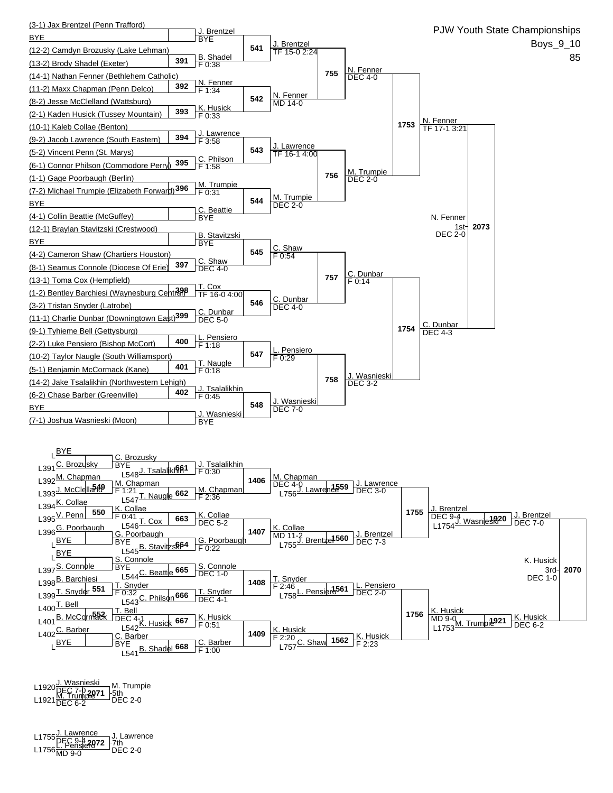

L1920<u>J. Wasnieski</u><br>L1920 <mark>DEC 7-0 2071</mark> -5th<br>L1921 DEC 6-2 DEC 2-0 M. Trumpie 5th

L1755<u>J. Lawrence J</u>. Lawren<br><u>DEC 9-4</u> 2072 -7th<br>L1756 MD 9-0 DEC 2-0 J. Lawrence 7th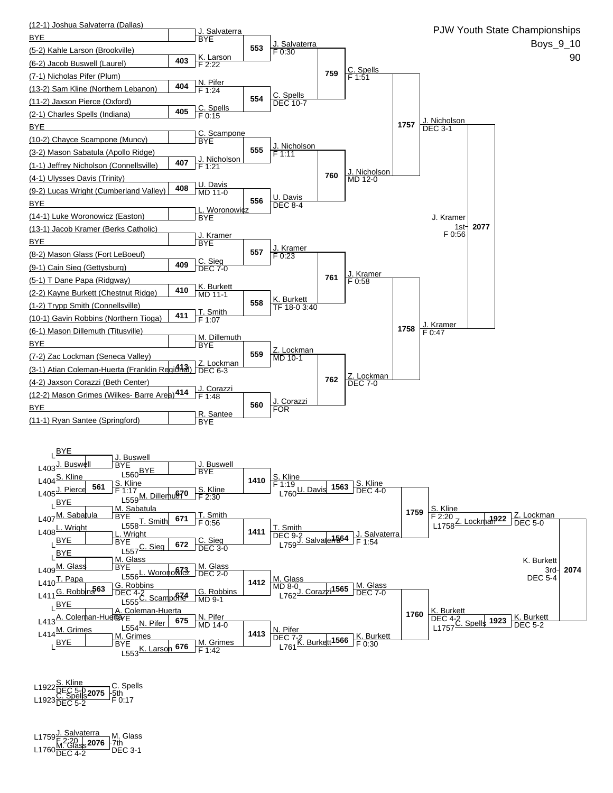

L1922<u>S. Kline</u><br>L1923 <mark>DEC 5-0 **2075** -</mark>5th<br>L1923 DEC 5-2 F 0:17 C. Spells

L1759 <u>J. Salvaterra</u><br>En En 2:20 | **2076** | 7th<br>L1760 DEC 4-2 DEC 3-1 M. Glass 7th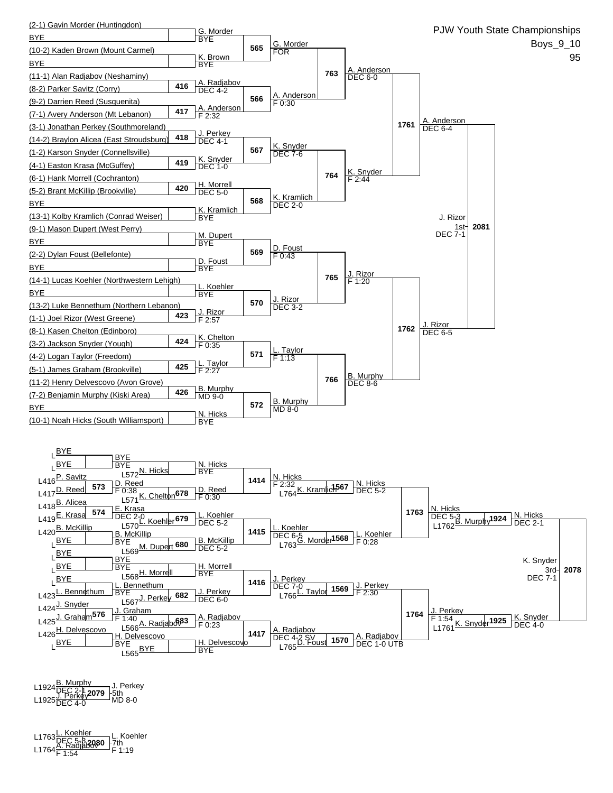

L1924 B. Murphy<br>DEC 2-1, **2079** L1925<del>J. Perkey 2079</del> Forn<br>L1925 DEC 4-0 MD 8-0 J. Perkey \_<sup>|-5th</sup><br>⊃MD 8-0

L1763<u>L. Koehler \_\_\_</u>\_\_ L. Koeh<br>L1764<u>A. Radjabov</u>80 -7th<br>L1764<mark>F 1:54 F 1:1</mark>9 L. Koehler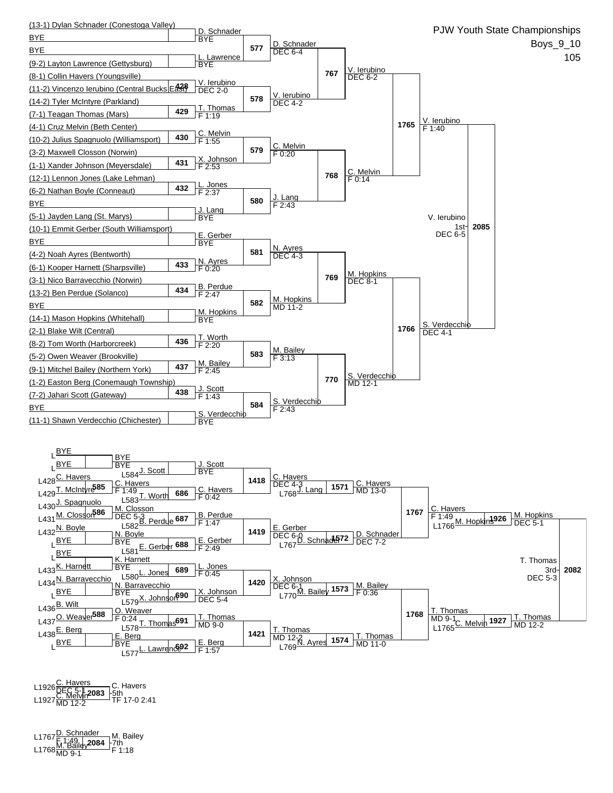

**2083** L1926C. Havers DEC 5-1 L1927C. Melvin MD 12-2 TF 17-0 2:41 C. Havers 5th

L1767<u>D. Schnader</u> – M. Baile<br>L1768<u>M. Bailey</u>2084 – 7th<br>L1768<sub>MD 9-1</sub> – F 1:18 M. Bailey 7th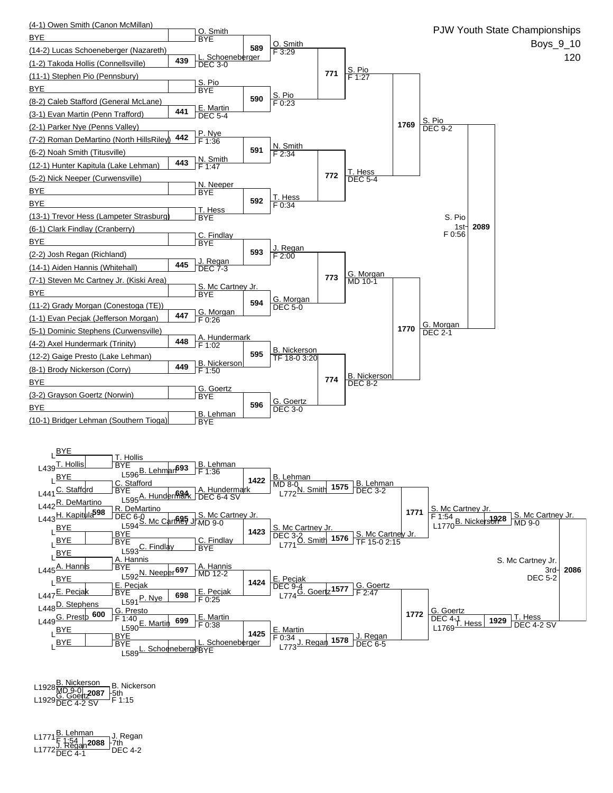

L1928<u>B. Nickerson</u><br>L1929<u>G. Goe**tt2087** - 5th<br>L1929 DEC 4-2 SV - F 1:15</u> B. Nickerson

**2088** L1771B. Lehman F 1:54 L1772J. Regan DEC 4-1 DEC 4-2 J. Regan 7th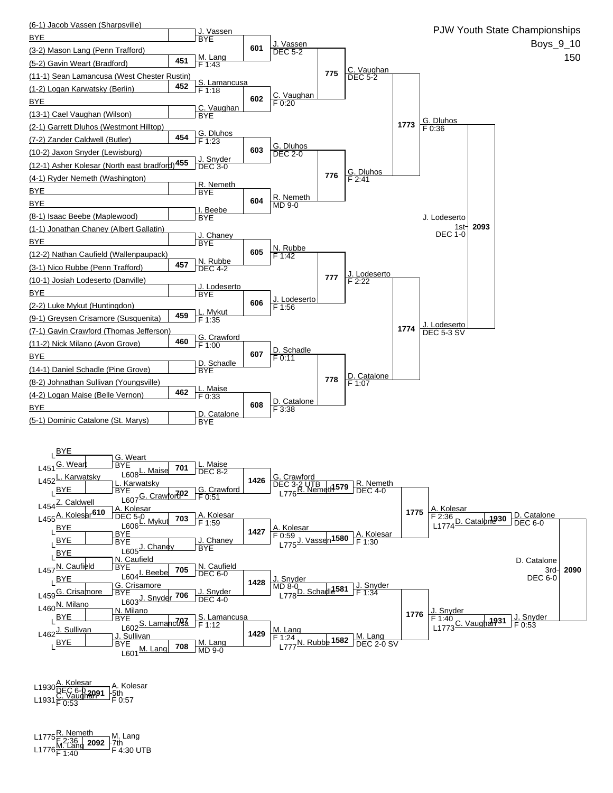

L1930<u>A. Kolesar —</u> A. Kole<br>L1931<u>C. Vaughan</u>91 -5th<br>L1931 F 0:53 F 0:57 A. Kolesar ]−5th<br>- F 0:57

L1775 <mark>R. Nemeth </mark> M. Lang<br>E<u>. 2:36 **R. Lang 2092** F7th<br>L1776 F 1:40 F 4:30 UTB</u> M. Lang 7th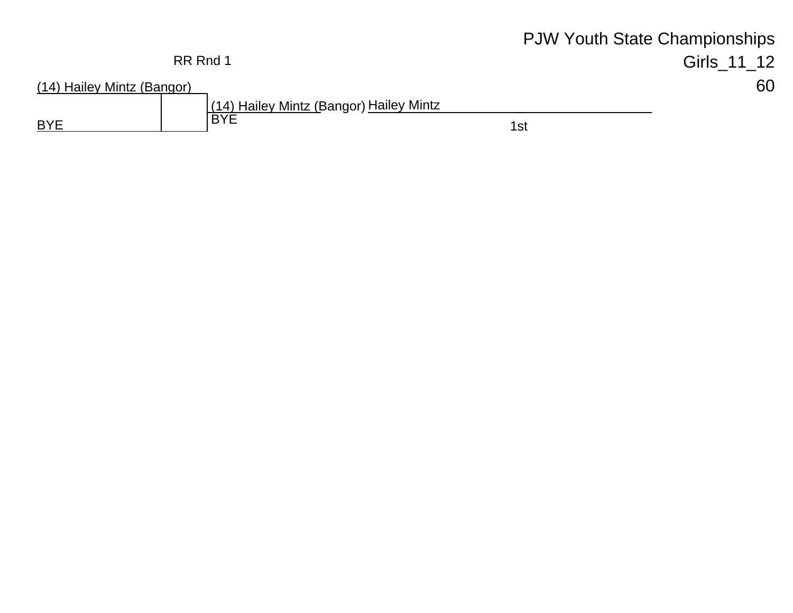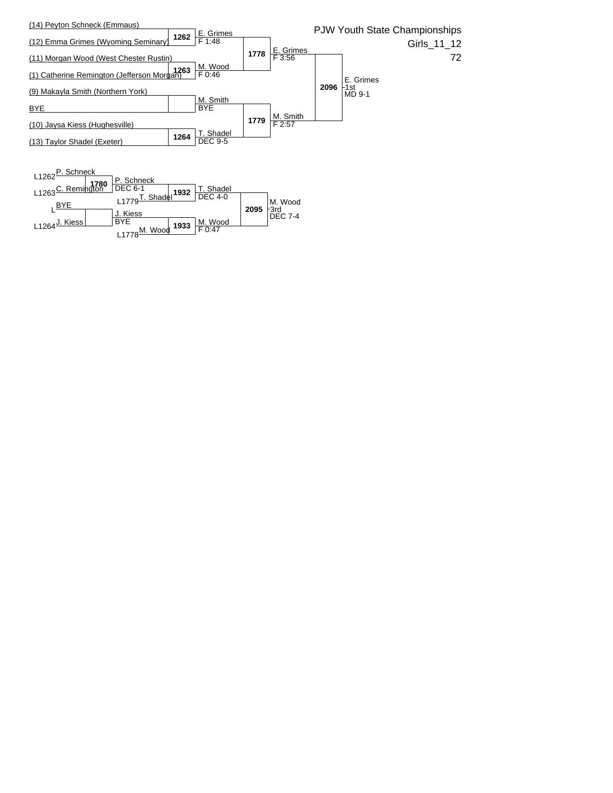

**1933 M. Wood** 

BYE

L1778<sup>M. Wood</sup>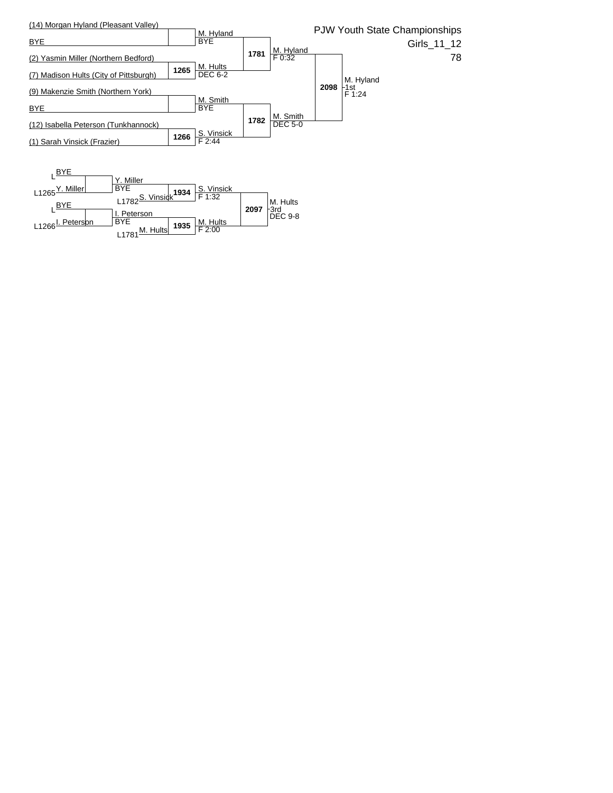

L1781<sup>M. Hultsl</sup>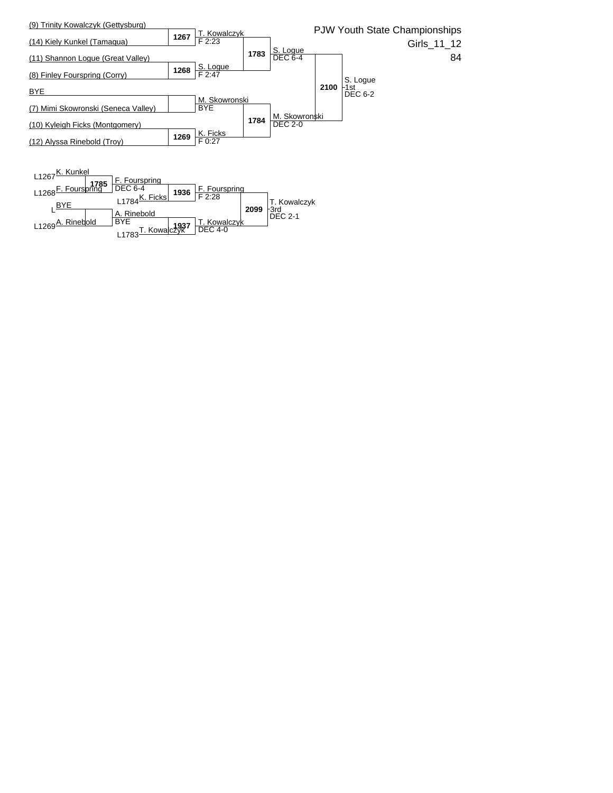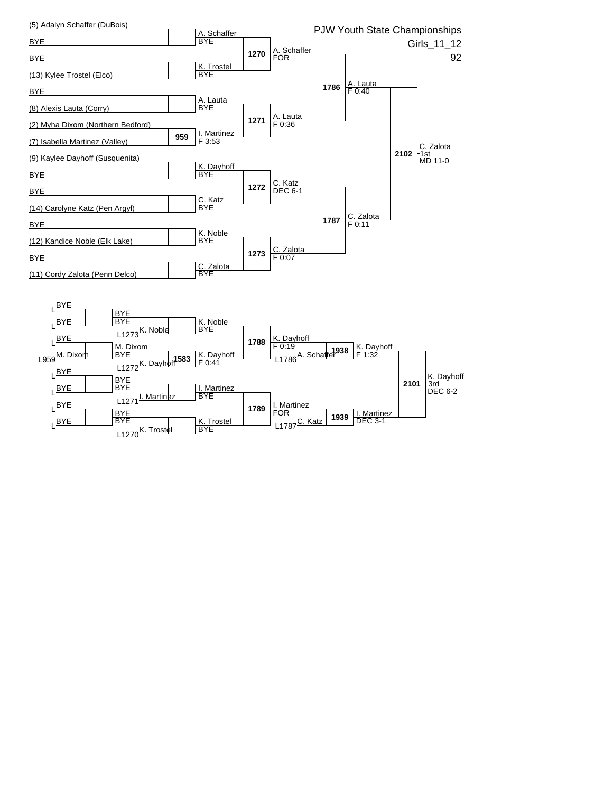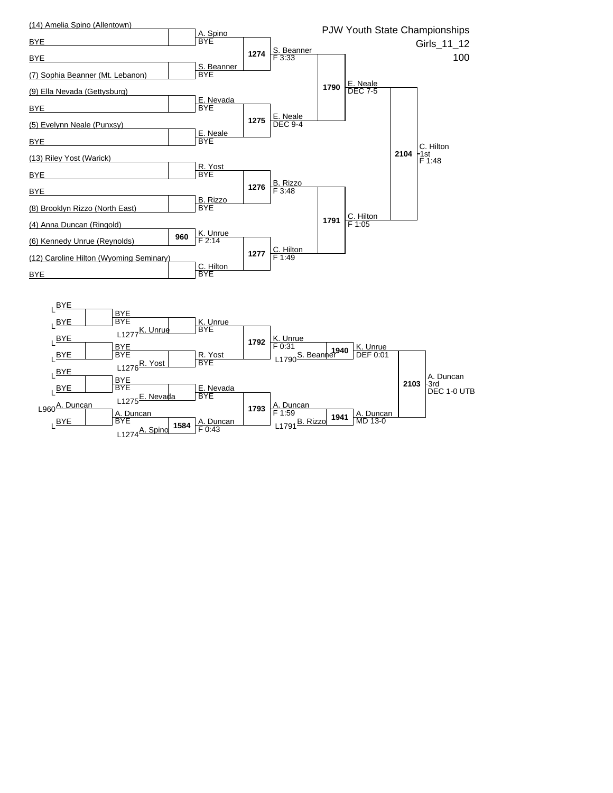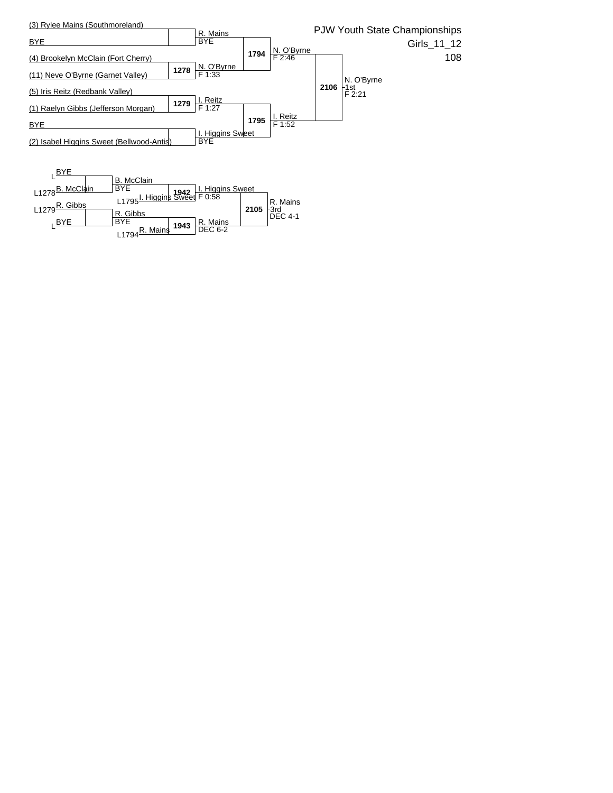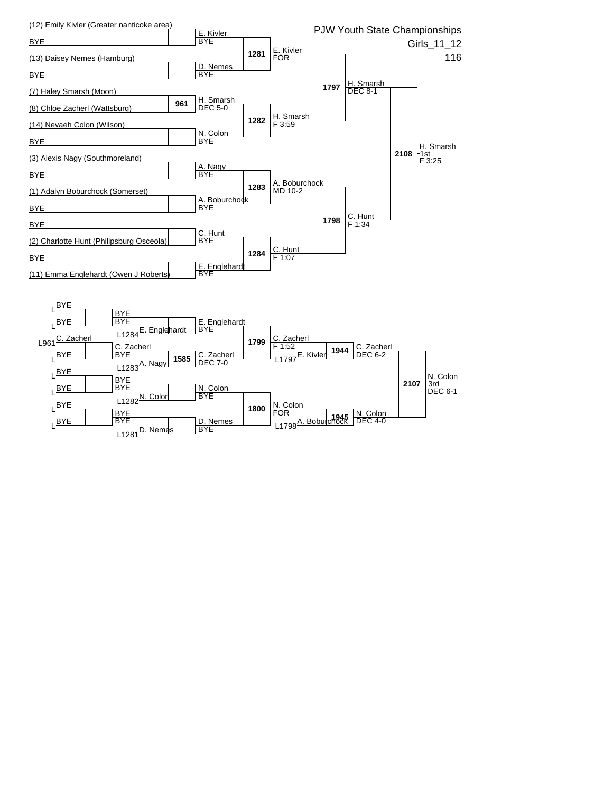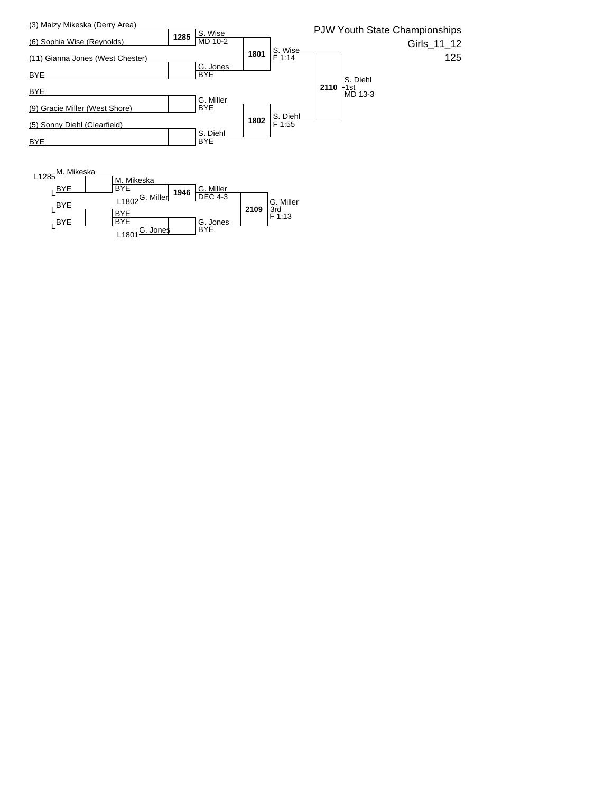

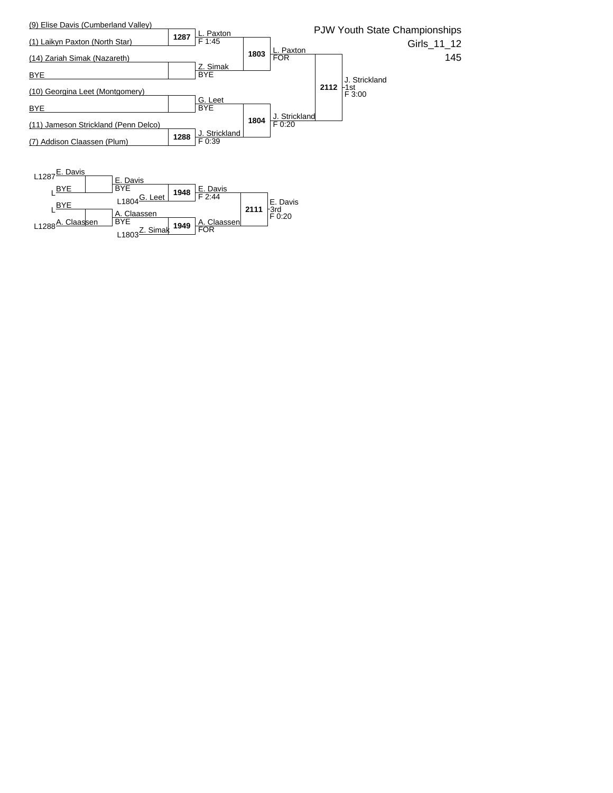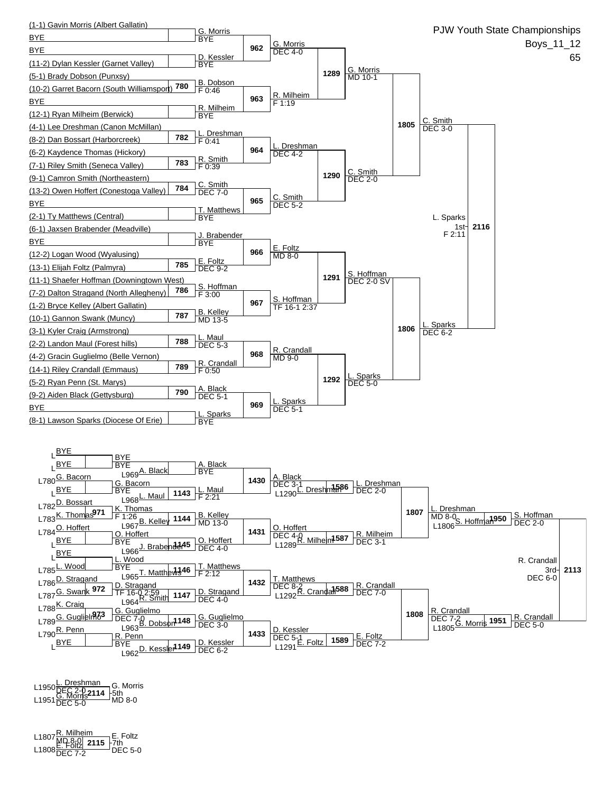

**2114** L1950L. Dreshman DEC 2-0 L1951G. Morris DEC 5-0 MD 8-0 G. Morris 5th

**2115** L1807R. Milheim MD 8-0 L1808E. Foltz DEC 7-2 DEC 5-0 E. Foltz 7th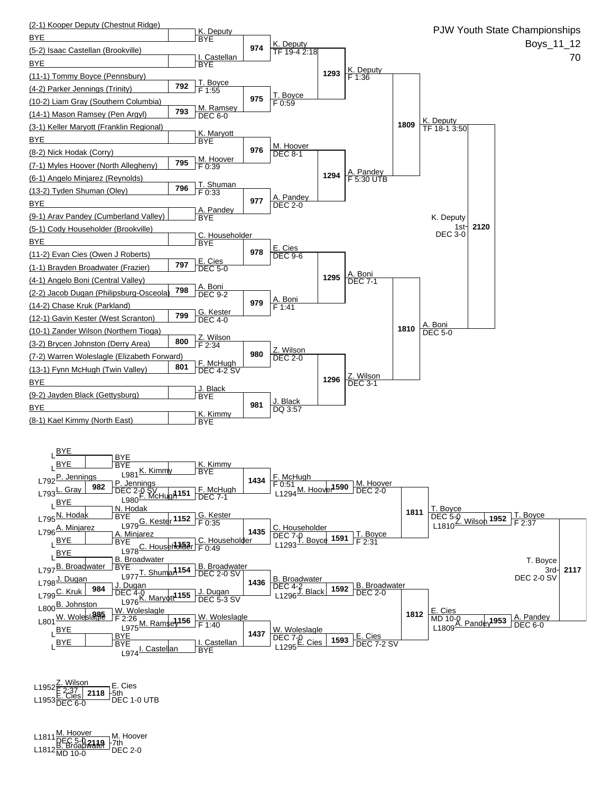

L1952<u><sup>Z. Wilson<br>E. 2:37 <u>Dec 1</u>118 5th<br>L1953 DEC 6-0 DEC 1-0 UTB</u></sup> E. Cies 5th

**2119** L1811M. Hoover DEC 5-0 L1812B. Broadwater MD 10-0 DEC 2-0 M. Hoover 7th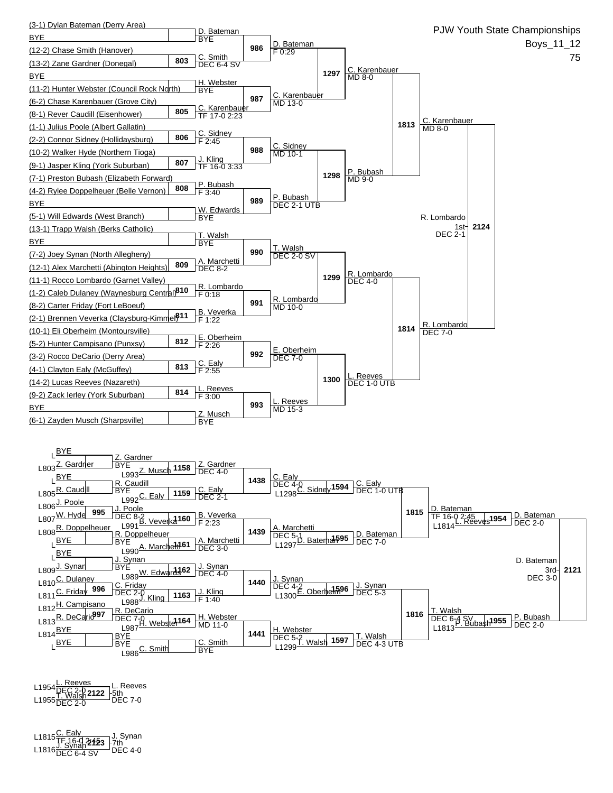

**2122** L1954L. Reeves DEC 2-0 L1955T. Walsh DEC 2-0 DEC 7-0 L. Reeves 5th

**2123** L1815C. Ealy TF 16-0 2:45 L1816J. Synan DEC 6-4 SV DEC 4-0 J. Synan 7th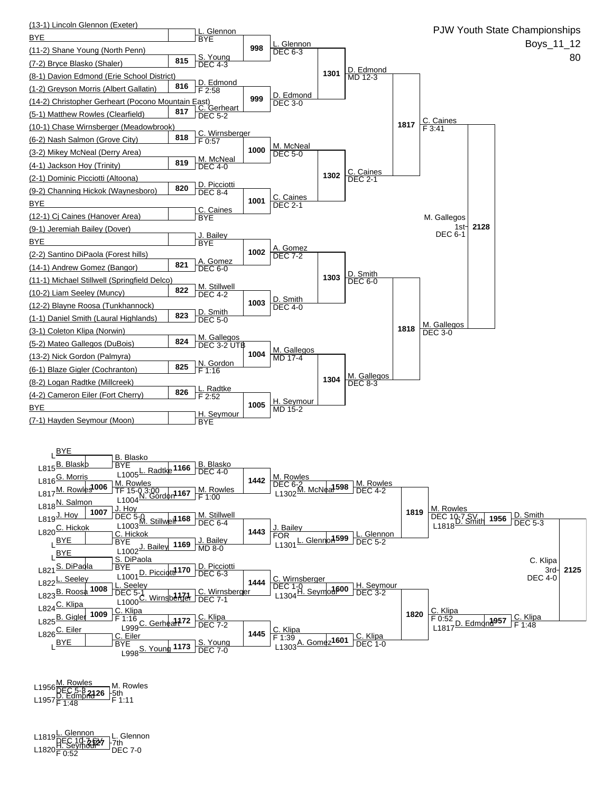

**2126** L1956M. Rowles DEC 5-3 L1957D. Edmond F 1:48 F 1:11 5th M. Rowles

**2127** L1819L. Glennon DEC 10-7 SV L1820H. Seymour F 0:52 DEC 7-0 L. Glennon L. Glenno<br>F7th<br>DEC 7-0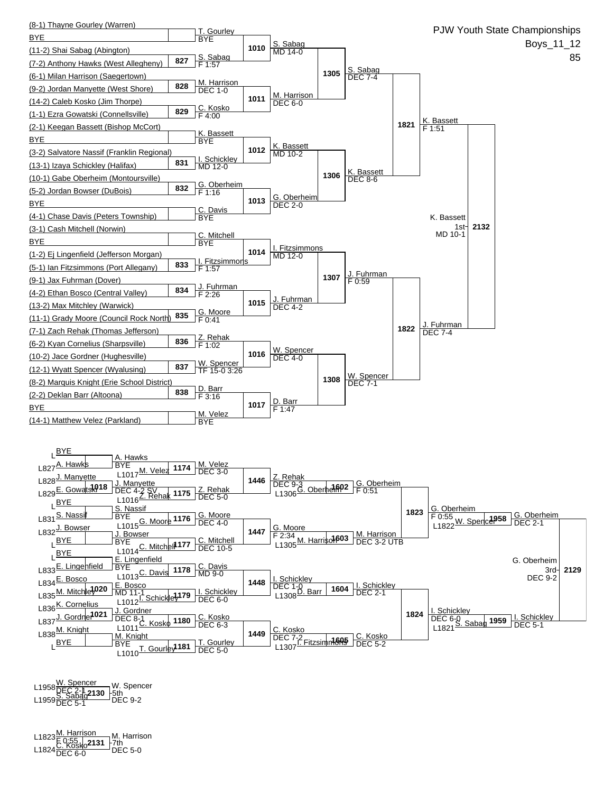

**2130** L1958W. Spencer DEC 2-1 L1959S. Sabag DEC 5-1 DEC 9-2 5th W. Spencer

**2131** L1823M. Harrison F 0:55 L1824C. Kosko DEC 6-0 DEC 5-0 M. Harrison 7th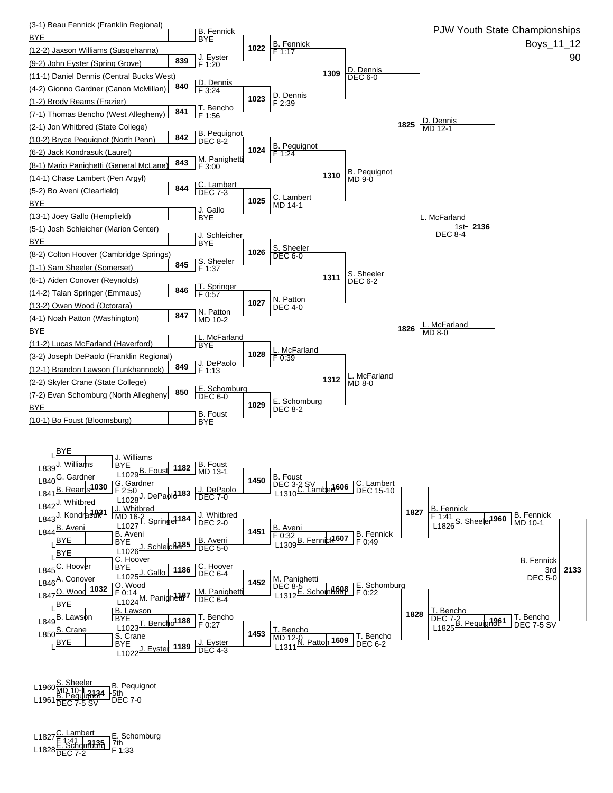

**2134** L1960S. Sheeler MD 10-1 L1961B. Pequignot DEC 7-5 SV DEC 7-0 5th B. Pequignot

**2135** L1827C. Lambert F 1:41 L1828E. Schomburg DEC 7-2 F 1:33 E. Schomburg 7th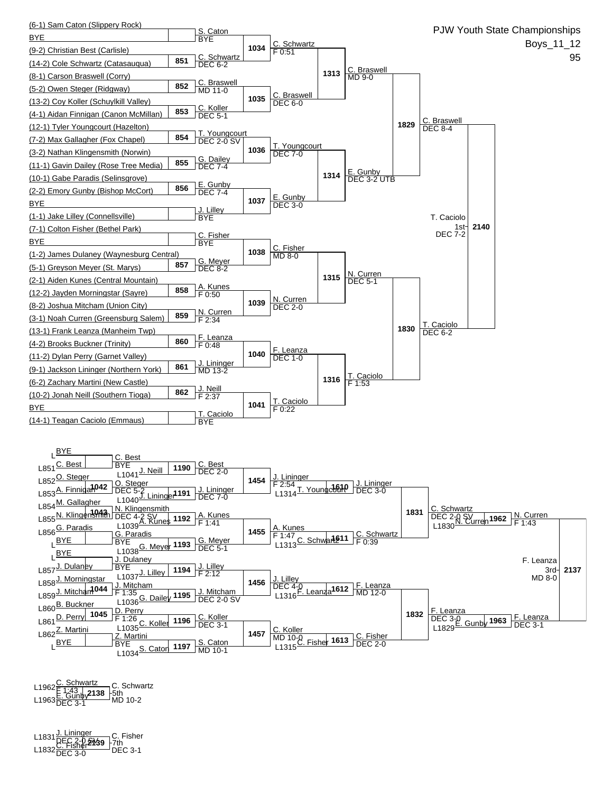

**2138** L1962C. Schwartz F 1:43 L1963E. Gunby DEC 3-1 MD 10-2 5th C. Schwartz

**2139** L1831J. Lininger DEC 2-0 SV L1832C. Fisher DEC 3-0 DEC 3-1 C. Fisher 7th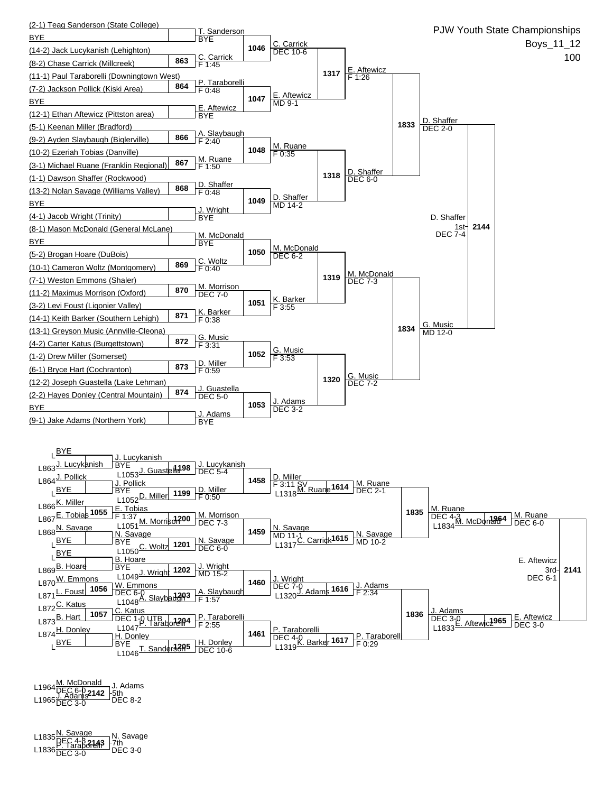

**2142** L1964M. McDonald DEC 6-0 L1965J. Adams DEC 3-0 DEC 8-2 J. Adams 5th

**2143** L1835N. Savage DEC 4-3 L1836P. Taraborelli DEC 3-0 DEC 3-0 N. Savage 7th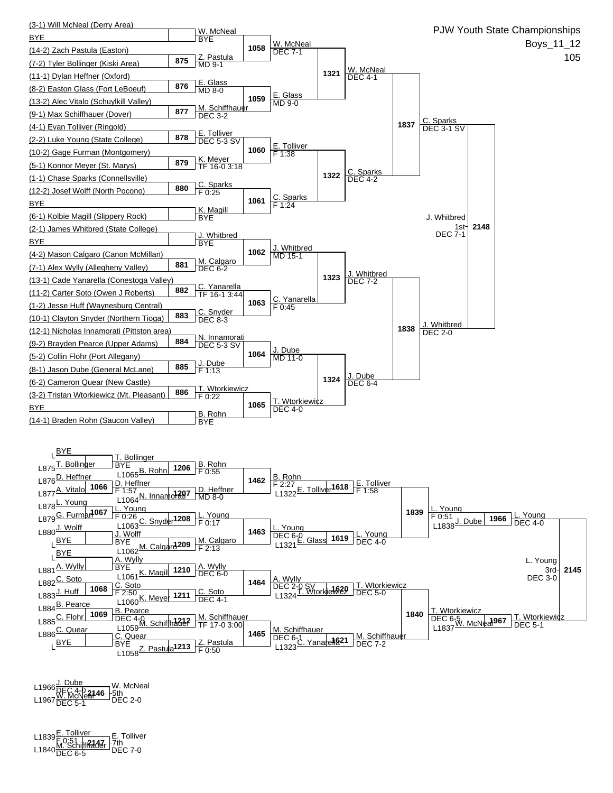

L1966<u>J. Dube</u><br>L1967 <mark>V. McNeal 46</mark> Sth<br>L1967 DEC 5-1 DEC 2-0 W. McNeal

**2147** L1839E. Tolliver F 0:51 L1840M. Schiffhauer DEC 6-5 DEC 7-0 E. Tolliver 7th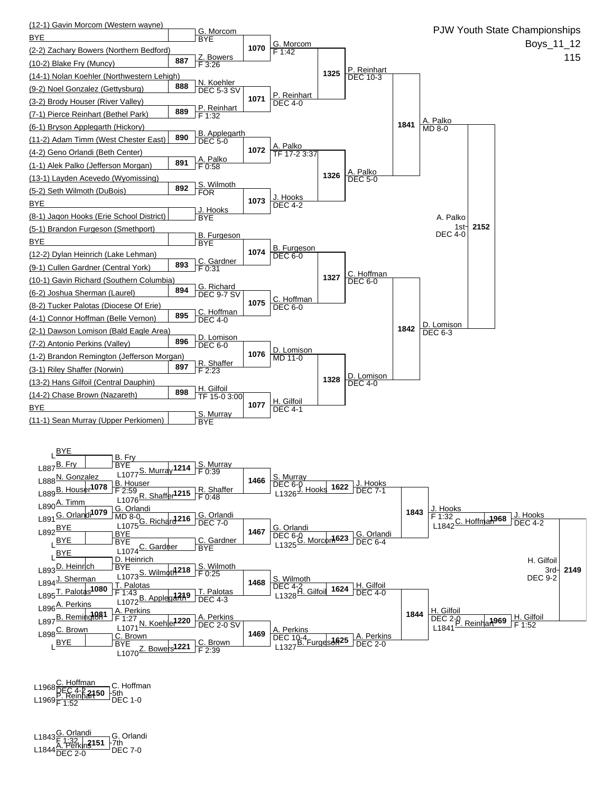

**2150** L1968C. Hoffman DEC 4-2 L1969P. Reinhart F 1:52 DEC 1-0 C. Hoffman 5th

**2151** L1843G. Orlandi F 1:32 L1844A. Perkins DEC 2-0 DEC 7-0 G. Orlandi 7th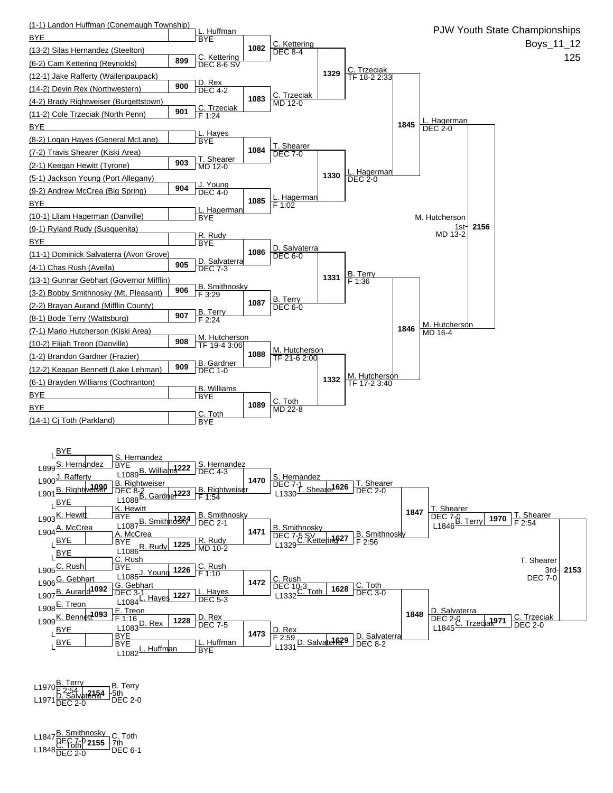

**2154** L1970B. Terry F 2:54 L1971D. Salvaterra DEC 2-0 DEC 2-0 B. Terry 5th

**2155** L1847B. Smithnosky DEC 7-0 L1848C. Toth DEC 2-0 DEC 6-1 C. Toth 7th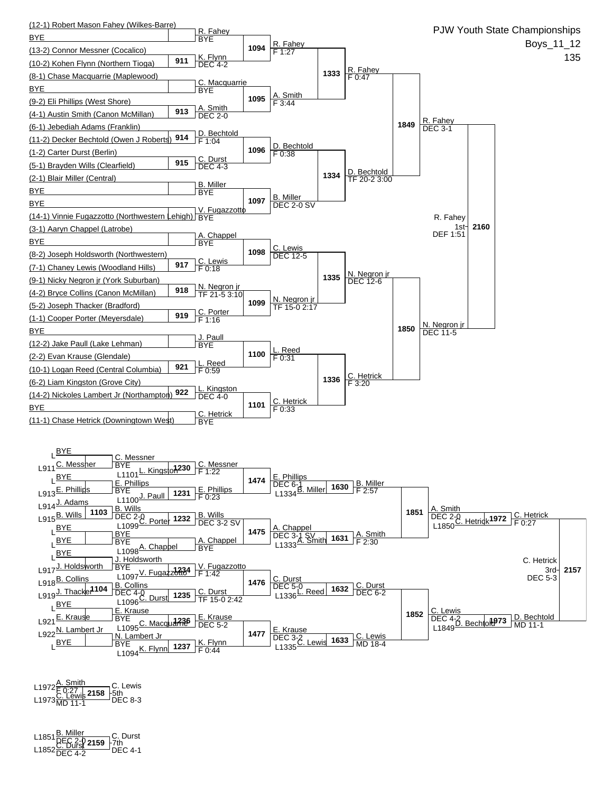

L1972<u>Å. Smith</u><br>L1973<u>C. Lewis</u> 2158 F5th<br>L1973<sub>MD 11-1</sub> DEC 8-3 C. Lewis \_<del>l 5</del>th<br>□ DEC 8-3

**2159** L1851B. Miller DEC 2-0 L1852C. Durst DEC 4-2 DEC 4-1 C. Durst 7th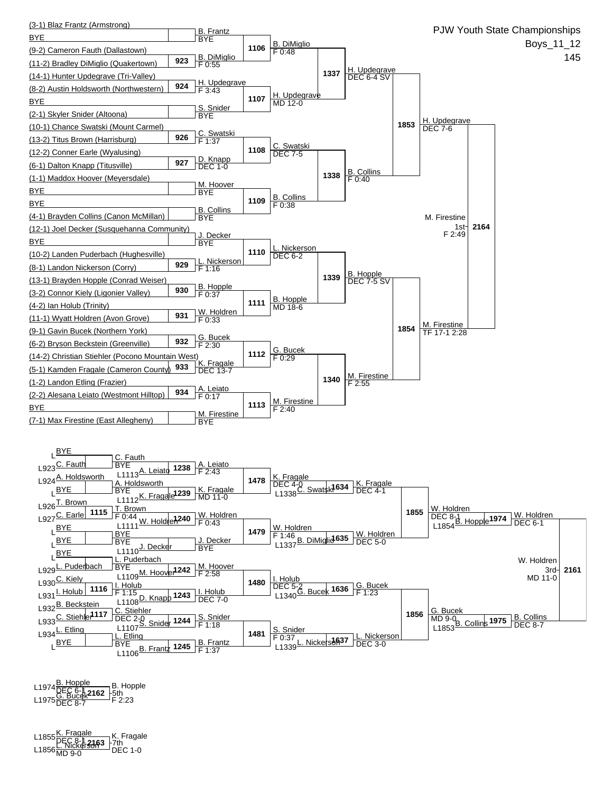

L1974<u>B. Hopple \_\_\_</u>\_\_\_B. Hopp<br>L1975<u>G. Bucek2162</u> -5th<br>L1975DEC 8-7 F 2:23 B. Hopple

**2163** L1855K. Fragale DEC 8-1 L1856L. Nickerson MD 9-0 DEC 1-0 K. Fragale 7th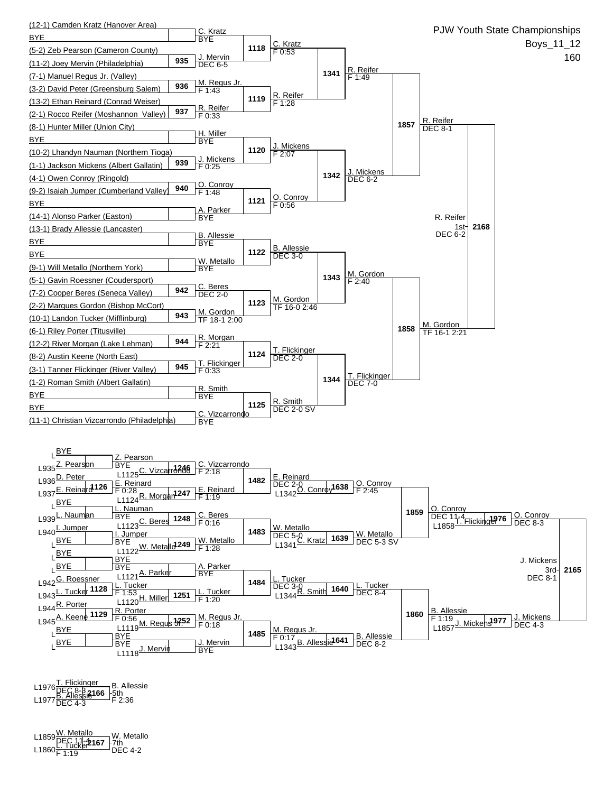

L1976 <mark>T. Flickinger \_\_</mark> B. Alles<br>L1977 <u>B. Allessie</u>166 -5th<br>L1977 DEC 4-3 F 2:36 B. Allessie

**2167** L1859W. Metallo DEC 11-4 L1860L. Tucker F 1:19 DEC 4-2 7th W. Metallo